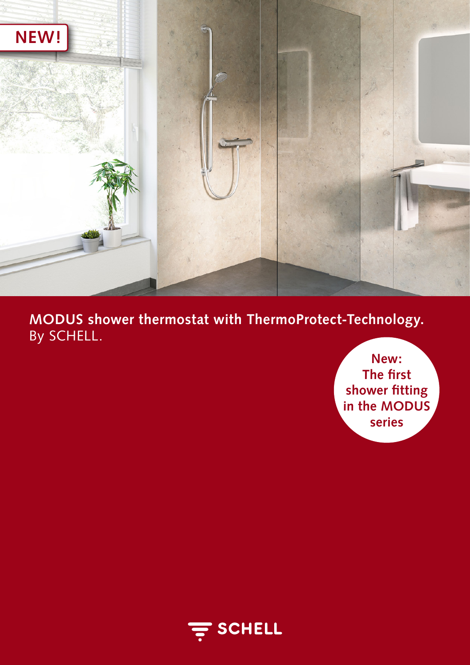

**MODUS shower thermostat with ThermoProtect-Technology.** By SCHELL.

> **New: The first shower fitting in the MODUS series**

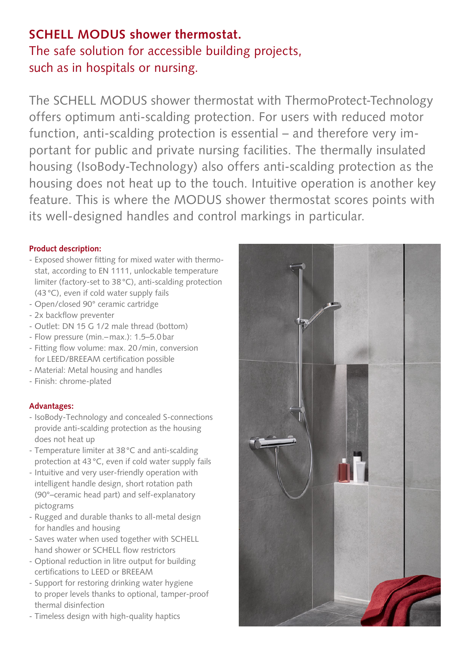# **SCHELL MODUS shower thermostat.**

The safe solution for accessible building projects, such as in hospitals or nursing.

The SCHELL MODUS shower thermostat with ThermoProtect-Technology offers optimum anti-scalding protection. For users with reduced motor function, anti-scalding protection is essential – and therefore very important for public and private nursing facilities. The thermally insulated housing (IsoBody-Technology) also offers anti-scalding protection as the housing does not heat up to the touch. Intuitive operation is another key feature. This is where the MODUS shower thermostat scores points with its well-designed handles and control markings in particular.

### **Product description:**

- Exposed shower fitting for mixed water with thermostat, according to EN 1111, unlockable temperature limiter (factory-set to 38°C), anti-scalding protection (43°C), even if cold water supply fails
- Open/closed 90° ceramic cartridge
- 2x backflow preventer
- Outlet: DN 15 G 1/2 male thread (bottom)
- Flow pressure (min.–max.): 1.5–5.0bar
- Fitting flow volume: max. 20/min, conversion for LEED/BREEAM certification possible
- Material: Metal housing and handles
- Finish: chrome-plated

## **Advantages:**

- IsoBody-Technology and concealed S-connections provide anti-scalding protection as the housing does not heat up
- Temperature limiter at 38°C and anti-scalding protection at 43°C, even if cold water supply fails
- Intuitive and very user-friendly operation with intelligent handle design, short rotation path (90°–ceramic head part) and self-explanatory pictograms
- Rugged and durable thanks to all-metal design for handles and housing
- Saves water when used together with SCHELL hand shower or SCHELL flow restrictors
- Optional reduction in litre output for building certifications to LEED or BREEAM
- Support for restoring drinking water hygiene to proper levels thanks to optional, tamper-proof thermal disinfection
- Timeless design with high-quality haptics

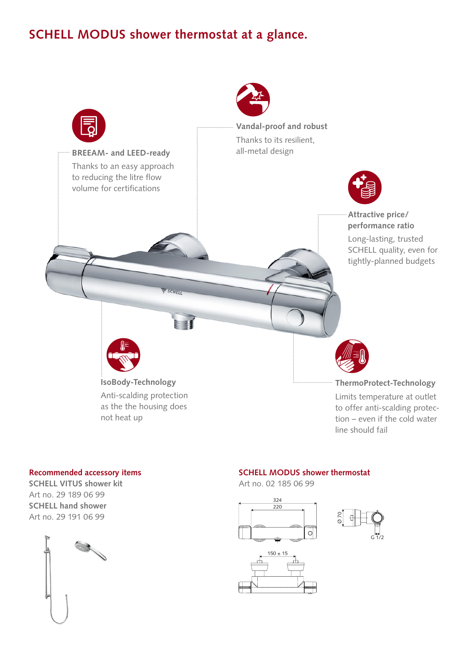## **SCHELL MODUS shower thermostat at a glance.**



#### **Recommended accessory items**

**SCHELL VITUS shower kit** Art no. 29 189 06 99 **SCHELL hand shower** Art no. 29 191 06 99



#### **SCHELL MODUS shower thermostat**

Art no. 02 185 06 99